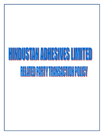# HINDISTANIADHSHIMITA) **BELOTED PARTY IBUNG 101 POLICY**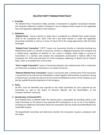# **RELATED PARTY TRANSACTION POLICY**

#### **1. Preamble**

The Related Party Transactions Policy provides a framework to regulate transactions between the Hindustan Adhesives Limited ("Company") and its Related Parties based on the applicable laws and regulations applicable on the Company.

## **2. Definitions**

"**Related Party**"- means a person or entity who is considered as a Related Party under Section 2(76) of the Companies Act, 2013 ("the Act") and Rules thereof or under the applicable accounting standards as well as in terms of Clause 49 of the Listing Agreements with the Stock Exchanges.

"**Related Party Transaction**" ("RPT") means any transaction directly or indirectly involving any Related Party which is a transfer of resources, services or obligations between the Company and a related party, regardless of whether or not a price is charged, either single or a group of transactions in a contract and includes the transactions enumerated in Section 188 of the Companies Act, 2013 read with Rule 15 of the Companies (Meetings of Board and its Powers) Rules, 2014 as amended from time to time.

**"Arm's Length Transaction"** means a transaction between two related parties that is conducted as if they were unrelated, so that there is no conflict of interest.

**"Material Related Party Transaction"** means a transaction with a related party if the transaction / transactions to be entered into individually or taken together with previous transactions during a financial year, exceeds ten percent of the annual consolidated turnover of the Company as per the last audited financial statements of the Company.

#### **3. Policy**

All RPTs must be identified and reported to the Audit Committee for prior approval by the Committee as well as the Board of Directors (Board) and the Shareholders of the Company wherever necessary.

## **4. Identification of Potential RPTs**

Each Related Party as defined under the relevant laws is responsible for providing notice to the Audit Committee or the Board of any potential RPT involving him or her or his or her Relative, including any additional information about the transaction that the Audit Committee/Board may reasonably request.

The Board/Audit Committee will determine whether the transaction requires compliance with this Policy.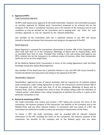#### **5. Approval of RPTs**

#### Audit Committee Approval

All RPTs shall require prior approval of the Audit Committee. However, the Committee can grant an omnibus approval for Related party Transactions proposed to be entered into by the Company if the same is considered necessary and in the interest of the Company and on such conditions as may be decided by the Committee and in keeping with any limits for such omnibus approvals as may be required by the relevant authorities.

Any member of the Committee who has a potential interest in any RPT will recuse himself or herself and abstain from discussion and voting on the approval of the RPT.

#### Board Approval

Board Approval is required for transactions enumerated in Section 188 of the Companies Act, 2013 read with Rule 15 of the Companies (Meetings of Board and its Powers) Rules, 2014 as amended from time to time. Provided that nothing in the said section shall apply to any RPTs, entered into by the Company in its ordinary course of business, other than transactions which are not on an arms length basis.

All the Material Related Party Transactions in terms of the Listing Agreements with the Stock Exchanges would also require Board Approval.

Any member of the Board who has a potential interest in any such RPT will recuse himself or herself and abstain from discussion and voting on the approval of the RPT.

#### Shareholders' Approval

Shareholders' approval by way of special resolution shall be required for all material related party transactions under Listing Agreement as well as the transactions covered Section 188 of the Companies Act, 2013 read with Rule 15 of the Companies (Meetings of Board and its Powers) Rules, 2014 as amended from time to time. All entities falling under the definition of "related parties" shall abstain from voting irrespective of whether the entity is a party to the particular transaction or not.

#### **6. Review & monitoring of RPTs:**

The Audit Committee may review and monitor a RPT taking into account the terms of the transaction, the business purpose of the transaction, the benefits to the Company and to the Related Party, and any other relevant matters. In connection with any review of a RPT, the Committee has authority to modify or waive any procedural requirements of this Policy.

To review a RPT, the Audit Committee shall be provided with all relevant material information of the RPT including the terms of the transaction, the business purpose of the transaction, the benefits to the company and to the Related party, and any other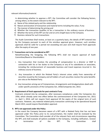relevant information/material.

In determining whether to approve a RPT, the Committee will consider the following factors, among others, to the extent relevant to the RPT:

- a) Name of the related party and the relationship
- b) Nature and duration of transaction and material terms including the value, if any
- c) The manner of determining the pricing and
- d) Whether the transaction qualifies to be a transaction in the ordinary course of business
- e) Whether the terms of the RPT are fair and on arms length basis to the Company
- f) Business rational for such transactions

The Audit Committee Shall review, at least on a quarterly basis, the details of RPT entered into by the Company pursuant to each of the omnibus approval given. However, such omnibus approvals shall be valid for a period not exceeding one year and shall require fresh approvals after the expiry of one year.

## **7**. **Transactions not to be considered as RPT**

Notwithstanding the foregoing, the following RPTs shall not require approval of Audit Committee/Board or Shareholders:

- i. Any transaction that involves the providing of compensation to a director or KMP in connection with his or her duties to the Company or any of its subsidiaries or associates, including the reimbursement of reasonable business and travel expenses incurred in the ordinary course of business.
- ii. Any transaction in which the Related Party's interest arises solely from ownership of securities issued by the Company and all holders of such securities receive the same benefits pro rata as the Related Party.
- iii. Any transaction arising out of Compromises, Arrangements and Amalgamations dealt with under specific provisions of the Companies Act, 1956/Companies Act, 2013.

# **8. Requirement of fresh approvals for past contracts if any**

Contracts entered into by companies, after necessary compliances under the Companies Act, 1956, which already came into effect before the commencement of the Companies Act, 2013, i.e. April 1, 2014, will not require fresh approval till the expiry of the original term of such contracts. However, any material related party transaction continuing to be operational beyond March 2015, would require Shareholders approval.

# **9. RPTs not approved under this Policy**

In the event the Company becomes aware of a RPT with a Related Party that has not been approved under this Policy prior to its consummation, the matter shall be reviewed by the Committee. The Committee shall consider all of the relevant facts and circumstances regarding the RPT, and shall evaluate all options available to the Company, including ratification, revision or termination of the RPT. The Committee shall